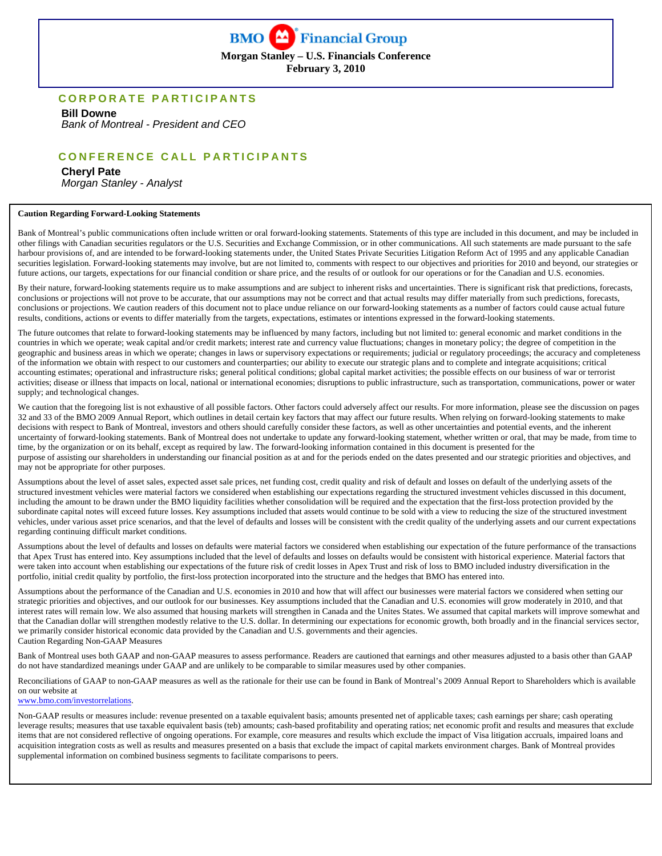

# **CORPORATE PARTICIPANTS**

 **Bill Downe**   *Bank of Montreal - President and CEO* 

# **CONFERENCE CALL PARTICIPANTS**

 **Cheryl Pate**   *Morgan Stanley - Analyst* 

#### **Caution Regarding Forward-Looking Statements**

Bank of Montreal's public communications often include written or oral forward-looking statements. Statements of this type are included in this document, and may be included in other filings with Canadian securities regulators or the U.S. Securities and Exchange Commission, or in other communications. All such statements are made pursuant to the safe harbour provisions of, and are intended to be forward-looking statements under, the United States Private Securities Litigation Reform Act of 1995 and any applicable Canadian securities legislation. Forward-looking statements may involve, but are not limited to, comments with respect to our objectives and priorities for 2010 and beyond, our strategies or future actions, our targets, expectations for our financial condition or share price, and the results of or outlook for our operations or for the Canadian and U.S. economies.

By their nature, forward-looking statements require us to make assumptions and are subject to inherent risks and uncertainties. There is significant risk that predictions, forecasts, conclusions or projections will not prove to be accurate, that our assumptions may not be correct and that actual results may differ materially from such predictions, forecasts, conclusions or projections. We caution readers of this document not to place undue reliance on our forward-looking statements as a number of factors could cause actual future results, conditions, actions or events to differ materially from the targets, expectations, estimates or intentions expressed in the forward-looking statements.

The future outcomes that relate to forward-looking statements may be influenced by many factors, including but not limited to: general economic and market conditions in the countries in which we operate; weak capital and/or credit markets; interest rate and currency value fluctuations; changes in monetary policy; the degree of competition in the geographic and business areas in which we operate; changes in laws or supervisory expectations or requirements; judicial or regulatory proceedings; the accuracy and completeness of the information we obtain with respect to our customers and counterparties; our ability to execute our strategic plans and to complete and integrate acquisitions; critical accounting estimates; operational and infrastructure risks; general political conditions; global capital market activities; the possible effects on our business of war or terrorist activities; disease or illness that impacts on local, national or international economies; disruptions to public infrastructure, such as transportation, communications, power or water supply; and technological changes.

We caution that the foregoing list is not exhaustive of all possible factors. Other factors could adversely affect our results. For more information, please see the discussion on pages 32 and 33 of the BMO 2009 Annual Report, which outlines in detail certain key factors that may affect our future results. When relying on forward-looking statements to make decisions with respect to Bank of Montreal, investors and others should carefully consider these factors, as well as other uncertainties and potential events, and the inherent uncertainty of forward-looking statements. Bank of Montreal does not undertake to update any forward-looking statement, whether written or oral, that may be made, from time to time, by the organization or on its behalf, except as required by law. The forward-looking information contained in this document is presented for the purpose of assisting our shareholders in understanding our financial position as at and for the periods ended on the dates presented and our strategic priorities and objectives, and may not be appropriate for other purposes.

Assumptions about the level of asset sales, expected asset sale prices, net funding cost, credit quality and risk of default and losses on default of the underlying assets of the structured investment vehicles were material factors we considered when establishing our expectations regarding the structured investment vehicles discussed in this document, including the amount to be drawn under the BMO liquidity facilities whether consolidation will be required and the expectation that the first-loss protection provided by the subordinate capital notes will exceed future losses. Key assumptions included that assets would continue to be sold with a view to reducing the size of the structured investment vehicles, under various asset price scenarios, and that the level of defaults and losses will be consistent with the credit quality of the underlying assets and our current expectations regarding continuing difficult market conditions.

Assumptions about the level of defaults and losses on defaults were material factors we considered when establishing our expectation of the future performance of the transactions that Apex Trust has entered into. Key assumptions included that the level of defaults and losses on defaults would be consistent with historical experience. Material factors that were taken into account when establishing our expectations of the future risk of credit losses in Apex Trust and risk of loss to BMO included industry diversification in the portfolio, initial credit quality by portfolio, the first-loss protection incorporated into the structure and the hedges that BMO has entered into.

Assumptions about the performance of the Canadian and U.S. economies in 2010 and how that will affect our businesses were material factors we considered when setting our strategic priorities and objectives, and our outlook for our businesses. Key assumptions included that the Canadian and U.S. economies will grow moderately in 2010, and that interest rates will remain low. We also assumed that housing markets will strengthen in Canada and the Unites States. We assumed that capital markets will improve somewhat and that the Canadian dollar will strengthen modestly relative to the U.S. dollar. In determining our expectations for economic growth, both broadly and in the financial services sector, we primarily consider historical economic data provided by the Canadian and U.S. governments and their agencies. Caution Regarding Non-GAAP Measures

Bank of Montreal uses both GAAP and non-GAAP measures to assess performance. Readers are cautioned that earnings and other measures adjusted to a basis other than GAAP do not have standardized meanings under GAAP and are unlikely to be comparable to similar measures used by other companies.

Reconciliations of GAAP to non-GAAP measures as well as the rationale for their use can be found in Bank of Montreal's 2009 Annual Report to Shareholders which is available on our website at

#### www.bmo.com/investorrelations.

Non-GAAP results or measures include: revenue presented on a taxable equivalent basis; amounts presented net of applicable taxes; cash earnings per share; cash operating leverage results; measures that use taxable equivalent basis (teb) amounts; cash-based profitability and operating ratios; net economic profit and results and measures that exclude items that are not considered reflective of ongoing operations. For example, core measures and results which exclude the impact of Visa litigation accruals, impaired loans and acquisition integration costs as well as results and measures presented on a basis that exclude the impact of capital markets environment charges. Bank of Montreal provides supplemental information on combined business segments to facilitate comparisons to peers.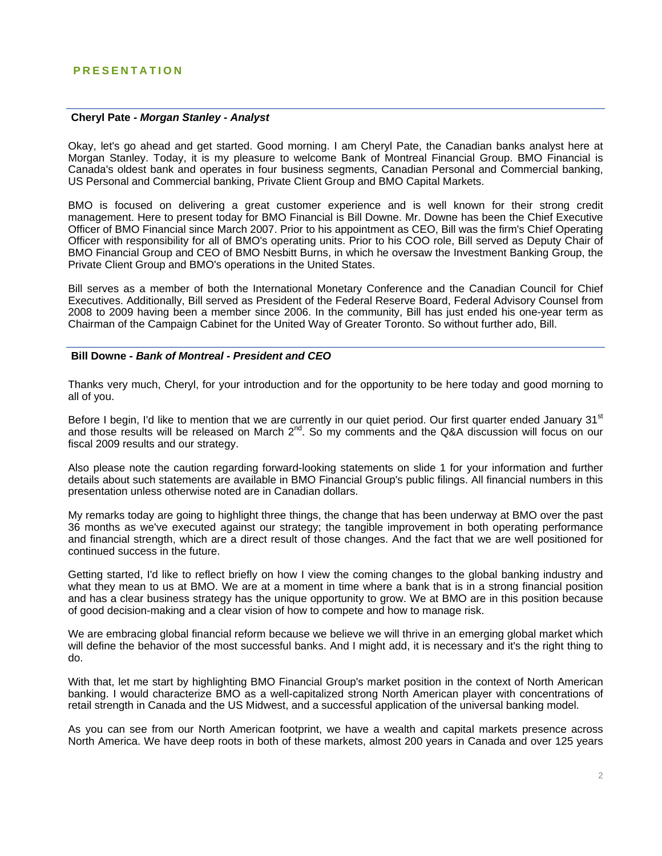#### **Cheryl Pate** *- Morgan Stanley - Analyst*

Okay, let's go ahead and get started. Good morning. I am Cheryl Pate, the Canadian banks analyst here at Morgan Stanley. Today, it is my pleasure to welcome Bank of Montreal Financial Group. BMO Financial is Canada's oldest bank and operates in four business segments, Canadian Personal and Commercial banking, US Personal and Commercial banking, Private Client Group and BMO Capital Markets.

BMO is focused on delivering a great customer experience and is well known for their strong credit management. Here to present today for BMO Financial is Bill Downe. Mr. Downe has been the Chief Executive Officer of BMO Financial since March 2007. Prior to his appointment as CEO, Bill was the firm's Chief Operating Officer with responsibility for all of BMO's operating units. Prior to his COO role, Bill served as Deputy Chair of BMO Financial Group and CEO of BMO Nesbitt Burns, in which he oversaw the Investment Banking Group, the Private Client Group and BMO's operations in the United States.

Bill serves as a member of both the International Monetary Conference and the Canadian Council for Chief Executives. Additionally, Bill served as President of the Federal Reserve Board, Federal Advisory Counsel from 2008 to 2009 having been a member since 2006. In the community, Bill has just ended his one-year term as Chairman of the Campaign Cabinet for the United Way of Greater Toronto. So without further ado, Bill.

#### **Bill Downe** *- Bank of Montreal - President and CEO*

Thanks very much, Cheryl, for your introduction and for the opportunity to be here today and good morning to all of you.

Before I begin, I'd like to mention that we are currently in our quiet period. Our first quarter ended January 31<sup>st</sup> and those results will be released on March  $2^{nd}$ . So my comments and the Q&A discussion will focus on our fiscal 2009 results and our strategy.

Also please note the caution regarding forward-looking statements on slide 1 for your information and further details about such statements are available in BMO Financial Group's public filings. All financial numbers in this presentation unless otherwise noted are in Canadian dollars.

My remarks today are going to highlight three things, the change that has been underway at BMO over the past 36 months as we've executed against our strategy; the tangible improvement in both operating performance and financial strength, which are a direct result of those changes. And the fact that we are well positioned for continued success in the future.

Getting started, I'd like to reflect briefly on how I view the coming changes to the global banking industry and what they mean to us at BMO. We are at a moment in time where a bank that is in a strong financial position and has a clear business strategy has the unique opportunity to grow. We at BMO are in this position because of good decision-making and a clear vision of how to compete and how to manage risk.

We are embracing global financial reform because we believe we will thrive in an emerging global market which will define the behavior of the most successful banks. And I might add, it is necessary and it's the right thing to do.

With that, let me start by highlighting BMO Financial Group's market position in the context of North American banking. I would characterize BMO as a well-capitalized strong North American player with concentrations of retail strength in Canada and the US Midwest, and a successful application of the universal banking model.

As you can see from our North American footprint, we have a wealth and capital markets presence across North America. We have deep roots in both of these markets, almost 200 years in Canada and over 125 years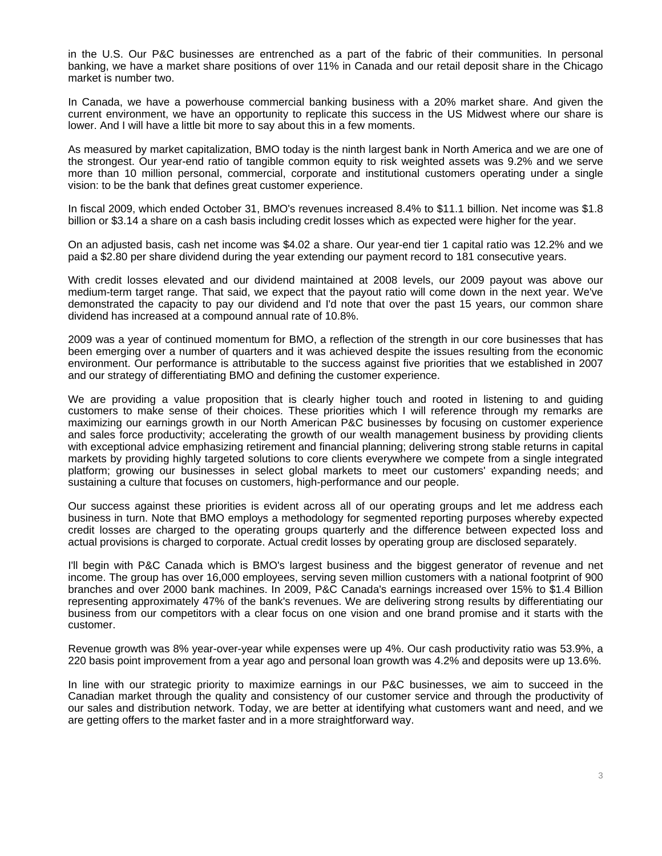in the U.S. Our P&C businesses are entrenched as a part of the fabric of their communities. In personal banking, we have a market share positions of over 11% in Canada and our retail deposit share in the Chicago market is number two.

In Canada, we have a powerhouse commercial banking business with a 20% market share. And given the current environment, we have an opportunity to replicate this success in the US Midwest where our share is lower. And I will have a little bit more to say about this in a few moments.

As measured by market capitalization, BMO today is the ninth largest bank in North America and we are one of the strongest. Our year-end ratio of tangible common equity to risk weighted assets was 9.2% and we serve more than 10 million personal, commercial, corporate and institutional customers operating under a single vision: to be the bank that defines great customer experience.

In fiscal 2009, which ended October 31, BMO's revenues increased 8.4% to \$11.1 billion. Net income was \$1.8 billion or \$3.14 a share on a cash basis including credit losses which as expected were higher for the year.

On an adjusted basis, cash net income was \$4.02 a share. Our year-end tier 1 capital ratio was 12.2% and we paid a \$2.80 per share dividend during the year extending our payment record to 181 consecutive years.

With credit losses elevated and our dividend maintained at 2008 levels, our 2009 payout was above our medium-term target range. That said, we expect that the payout ratio will come down in the next year. We've demonstrated the capacity to pay our dividend and I'd note that over the past 15 years, our common share dividend has increased at a compound annual rate of 10.8%.

2009 was a year of continued momentum for BMO, a reflection of the strength in our core businesses that has been emerging over a number of quarters and it was achieved despite the issues resulting from the economic environment. Our performance is attributable to the success against five priorities that we established in 2007 and our strategy of differentiating BMO and defining the customer experience.

We are providing a value proposition that is clearly higher touch and rooted in listening to and guiding customers to make sense of their choices. These priorities which I will reference through my remarks are maximizing our earnings growth in our North American P&C businesses by focusing on customer experience and sales force productivity; accelerating the growth of our wealth management business by providing clients with exceptional advice emphasizing retirement and financial planning; delivering strong stable returns in capital markets by providing highly targeted solutions to core clients everywhere we compete from a single integrated platform; growing our businesses in select global markets to meet our customers' expanding needs; and sustaining a culture that focuses on customers, high-performance and our people.

Our success against these priorities is evident across all of our operating groups and let me address each business in turn. Note that BMO employs a methodology for segmented reporting purposes whereby expected credit losses are charged to the operating groups quarterly and the difference between expected loss and actual provisions is charged to corporate. Actual credit losses by operating group are disclosed separately.

I'll begin with P&C Canada which is BMO's largest business and the biggest generator of revenue and net income. The group has over 16,000 employees, serving seven million customers with a national footprint of 900 branches and over 2000 bank machines. In 2009, P&C Canada's earnings increased over 15% to \$1.4 Billion representing approximately 47% of the bank's revenues. We are delivering strong results by differentiating our business from our competitors with a clear focus on one vision and one brand promise and it starts with the customer.

Revenue growth was 8% year-over-year while expenses were up 4%. Our cash productivity ratio was 53.9%, a 220 basis point improvement from a year ago and personal loan growth was 4.2% and deposits were up 13.6%.

In line with our strategic priority to maximize earnings in our P&C businesses, we aim to succeed in the Canadian market through the quality and consistency of our customer service and through the productivity of our sales and distribution network. Today, we are better at identifying what customers want and need, and we are getting offers to the market faster and in a more straightforward way.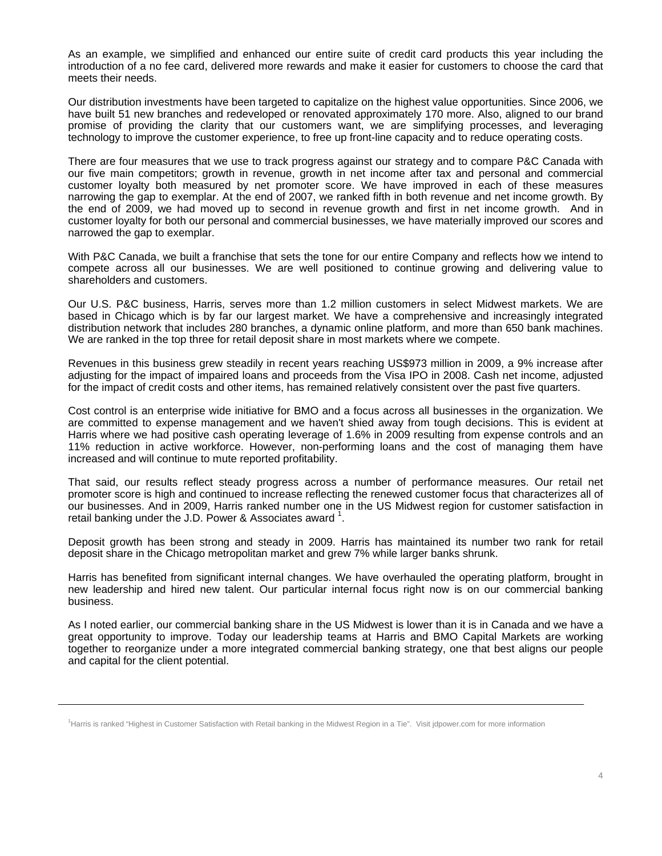As an example, we simplified and enhanced our entire suite of credit card products this year including the introduction of a no fee card, delivered more rewards and make it easier for customers to choose the card that meets their needs.

Our distribution investments have been targeted to capitalize on the highest value opportunities. Since 2006, we have built 51 new branches and redeveloped or renovated approximately 170 more. Also, aligned to our brand promise of providing the clarity that our customers want, we are simplifying processes, and leveraging technology to improve the customer experience, to free up front-line capacity and to reduce operating costs.

There are four measures that we use to track progress against our strategy and to compare P&C Canada with our five main competitors; growth in revenue, growth in net income after tax and personal and commercial customer loyalty both measured by net promoter score. We have improved in each of these measures narrowing the gap to exemplar. At the end of 2007, we ranked fifth in both revenue and net income growth. By the end of 2009, we had moved up to second in revenue growth and first in net income growth. And in customer loyalty for both our personal and commercial businesses, we have materially improved our scores and narrowed the gap to exemplar.

With P&C Canada, we built a franchise that sets the tone for our entire Company and reflects how we intend to compete across all our businesses. We are well positioned to continue growing and delivering value to shareholders and customers.

Our U.S. P&C business, Harris, serves more than 1.2 million customers in select Midwest markets. We are based in Chicago which is by far our largest market. We have a comprehensive and increasingly integrated distribution network that includes 280 branches, a dynamic online platform, and more than 650 bank machines. We are ranked in the top three for retail deposit share in most markets where we compete.

Revenues in this business grew steadily in recent years reaching US\$973 million in 2009, a 9% increase after adjusting for the impact of impaired loans and proceeds from the Visa IPO in 2008. Cash net income, adjusted for the impact of credit costs and other items, has remained relatively consistent over the past five quarters.

Cost control is an enterprise wide initiative for BMO and a focus across all businesses in the organization. We are committed to expense management and we haven't shied away from tough decisions. This is evident at Harris where we had positive cash operating leverage of 1.6% in 2009 resulting from expense controls and an 11% reduction in active workforce. However, non-performing loans and the cost of managing them have increased and will continue to mute reported profitability.

That said, our results reflect steady progress across a number of performance measures. Our retail net promoter score is high and continued to increase reflecting the renewed customer focus that characterizes all of our businesses. And in 2009, Harris ranked number one in the US Midwest region for customer satisfaction in retail banking under the J.D. Power & Associates award  $1$ .

Deposit growth has been strong and steady in 2009. Harris has maintained its number two rank for retail deposit share in the Chicago metropolitan market and grew 7% while larger banks shrunk.

Harris has benefited from significant internal changes. We have overhauled the operating platform, brought in new leadership and hired new talent. Our particular internal focus right now is on our commercial banking business.

As I noted earlier, our commercial banking share in the US Midwest is lower than it is in Canada and we have a great opportunity to improve. Today our leadership teams at Harris and BMO Capital Markets are working together to reorganize under a more integrated commercial banking strategy, one that best aligns our people and capital for the client potential.

<sup>&</sup>lt;sup>1</sup>Harris is ranked "Highest in Customer Satisfaction with Retail banking in the Midwest Region in a Tie". Visit jdpower.com for more information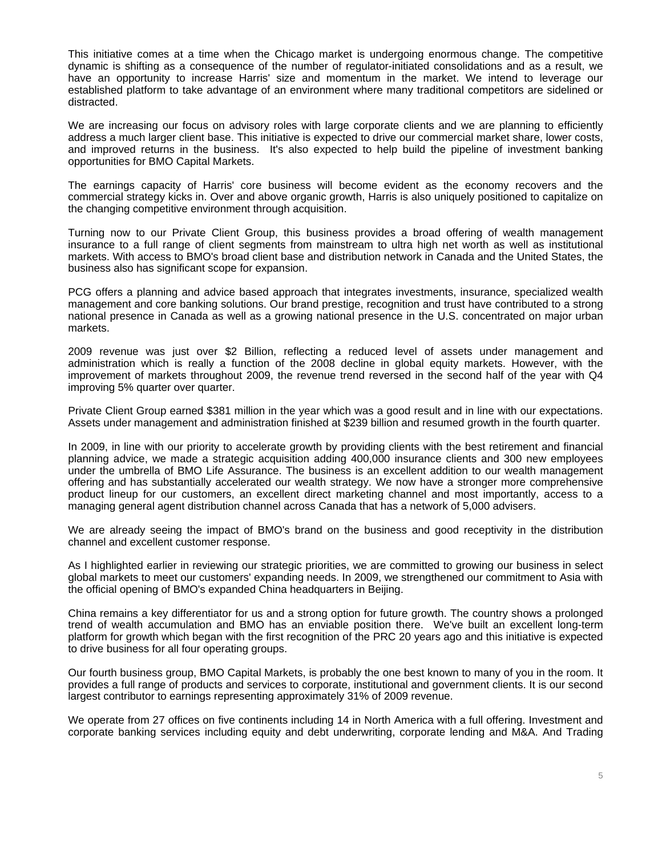This initiative comes at a time when the Chicago market is undergoing enormous change. The competitive dynamic is shifting as a consequence of the number of regulator-initiated consolidations and as a result, we have an opportunity to increase Harris' size and momentum in the market. We intend to leverage our established platform to take advantage of an environment where many traditional competitors are sidelined or distracted.

We are increasing our focus on advisory roles with large corporate clients and we are planning to efficiently address a much larger client base. This initiative is expected to drive our commercial market share, lower costs, and improved returns in the business. It's also expected to help build the pipeline of investment banking opportunities for BMO Capital Markets.

The earnings capacity of Harris' core business will become evident as the economy recovers and the commercial strategy kicks in. Over and above organic growth, Harris is also uniquely positioned to capitalize on the changing competitive environment through acquisition.

Turning now to our Private Client Group, this business provides a broad offering of wealth management insurance to a full range of client segments from mainstream to ultra high net worth as well as institutional markets. With access to BMO's broad client base and distribution network in Canada and the United States, the business also has significant scope for expansion.

PCG offers a planning and advice based approach that integrates investments, insurance, specialized wealth management and core banking solutions. Our brand prestige, recognition and trust have contributed to a strong national presence in Canada as well as a growing national presence in the U.S. concentrated on major urban markets.

2009 revenue was just over \$2 Billion, reflecting a reduced level of assets under management and administration which is really a function of the 2008 decline in global equity markets. However, with the improvement of markets throughout 2009, the revenue trend reversed in the second half of the year with Q4 improving 5% quarter over quarter.

Private Client Group earned \$381 million in the year which was a good result and in line with our expectations. Assets under management and administration finished at \$239 billion and resumed growth in the fourth quarter.

In 2009, in line with our priority to accelerate growth by providing clients with the best retirement and financial planning advice, we made a strategic acquisition adding 400,000 insurance clients and 300 new employees under the umbrella of BMO Life Assurance. The business is an excellent addition to our wealth management offering and has substantially accelerated our wealth strategy. We now have a stronger more comprehensive product lineup for our customers, an excellent direct marketing channel and most importantly, access to a managing general agent distribution channel across Canada that has a network of 5,000 advisers.

We are already seeing the impact of BMO's brand on the business and good receptivity in the distribution channel and excellent customer response.

As I highlighted earlier in reviewing our strategic priorities, we are committed to growing our business in select global markets to meet our customers' expanding needs. In 2009, we strengthened our commitment to Asia with the official opening of BMO's expanded China headquarters in Beijing.

China remains a key differentiator for us and a strong option for future growth. The country shows a prolonged trend of wealth accumulation and BMO has an enviable position there. We've built an excellent long-term platform for growth which began with the first recognition of the PRC 20 years ago and this initiative is expected to drive business for all four operating groups.

Our fourth business group, BMO Capital Markets, is probably the one best known to many of you in the room. It provides a full range of products and services to corporate, institutional and government clients. It is our second largest contributor to earnings representing approximately 31% of 2009 revenue.

We operate from 27 offices on five continents including 14 in North America with a full offering. Investment and corporate banking services including equity and debt underwriting, corporate lending and M&A. And Trading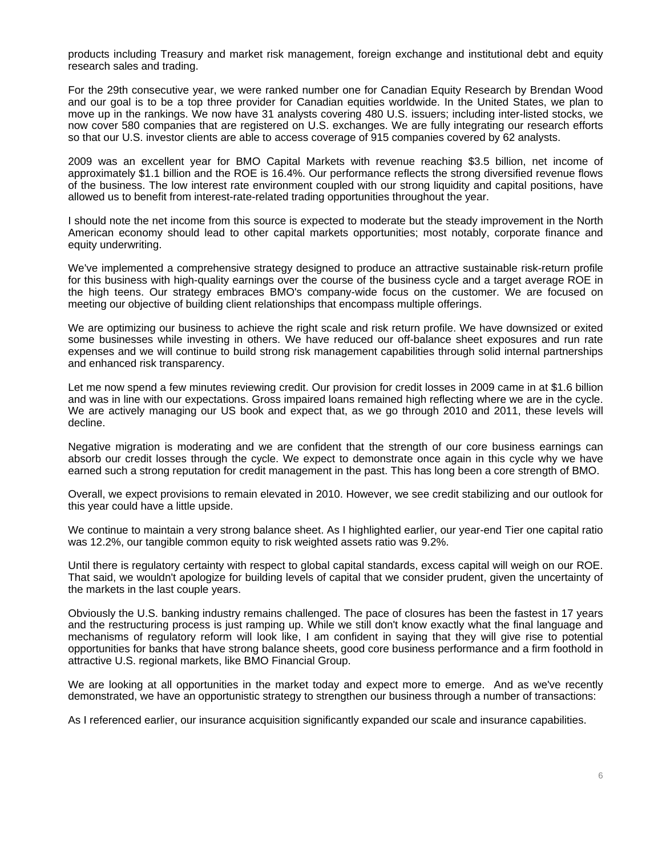products including Treasury and market risk management, foreign exchange and institutional debt and equity research sales and trading.

For the 29th consecutive year, we were ranked number one for Canadian Equity Research by Brendan Wood and our goal is to be a top three provider for Canadian equities worldwide. In the United States, we plan to move up in the rankings. We now have 31 analysts covering 480 U.S. issuers; including inter-listed stocks, we now cover 580 companies that are registered on U.S. exchanges. We are fully integrating our research efforts so that our U.S. investor clients are able to access coverage of 915 companies covered by 62 analysts.

2009 was an excellent year for BMO Capital Markets with revenue reaching \$3.5 billion, net income of approximately \$1.1 billion and the ROE is 16.4%. Our performance reflects the strong diversified revenue flows of the business. The low interest rate environment coupled with our strong liquidity and capital positions, have allowed us to benefit from interest-rate-related trading opportunities throughout the year.

I should note the net income from this source is expected to moderate but the steady improvement in the North American economy should lead to other capital markets opportunities; most notably, corporate finance and equity underwriting.

We've implemented a comprehensive strategy designed to produce an attractive sustainable risk-return profile for this business with high-quality earnings over the course of the business cycle and a target average ROE in the high teens. Our strategy embraces BMO's company-wide focus on the customer. We are focused on meeting our objective of building client relationships that encompass multiple offerings.

We are optimizing our business to achieve the right scale and risk return profile. We have downsized or exited some businesses while investing in others. We have reduced our off-balance sheet exposures and run rate expenses and we will continue to build strong risk management capabilities through solid internal partnerships and enhanced risk transparency.

Let me now spend a few minutes reviewing credit. Our provision for credit losses in 2009 came in at \$1.6 billion and was in line with our expectations. Gross impaired loans remained high reflecting where we are in the cycle. We are actively managing our US book and expect that, as we go through 2010 and 2011, these levels will decline.

Negative migration is moderating and we are confident that the strength of our core business earnings can absorb our credit losses through the cycle. We expect to demonstrate once again in this cycle why we have earned such a strong reputation for credit management in the past. This has long been a core strength of BMO.

Overall, we expect provisions to remain elevated in 2010. However, we see credit stabilizing and our outlook for this year could have a little upside.

We continue to maintain a very strong balance sheet. As I highlighted earlier, our year-end Tier one capital ratio was 12.2%, our tangible common equity to risk weighted assets ratio was 9.2%.

Until there is regulatory certainty with respect to global capital standards, excess capital will weigh on our ROE. That said, we wouldn't apologize for building levels of capital that we consider prudent, given the uncertainty of the markets in the last couple years.

Obviously the U.S. banking industry remains challenged. The pace of closures has been the fastest in 17 years and the restructuring process is just ramping up. While we still don't know exactly what the final language and mechanisms of regulatory reform will look like, I am confident in saying that they will give rise to potential opportunities for banks that have strong balance sheets, good core business performance and a firm foothold in attractive U.S. regional markets, like BMO Financial Group.

We are looking at all opportunities in the market today and expect more to emerge. And as we've recently demonstrated, we have an opportunistic strategy to strengthen our business through a number of transactions:

As I referenced earlier, our insurance acquisition significantly expanded our scale and insurance capabilities.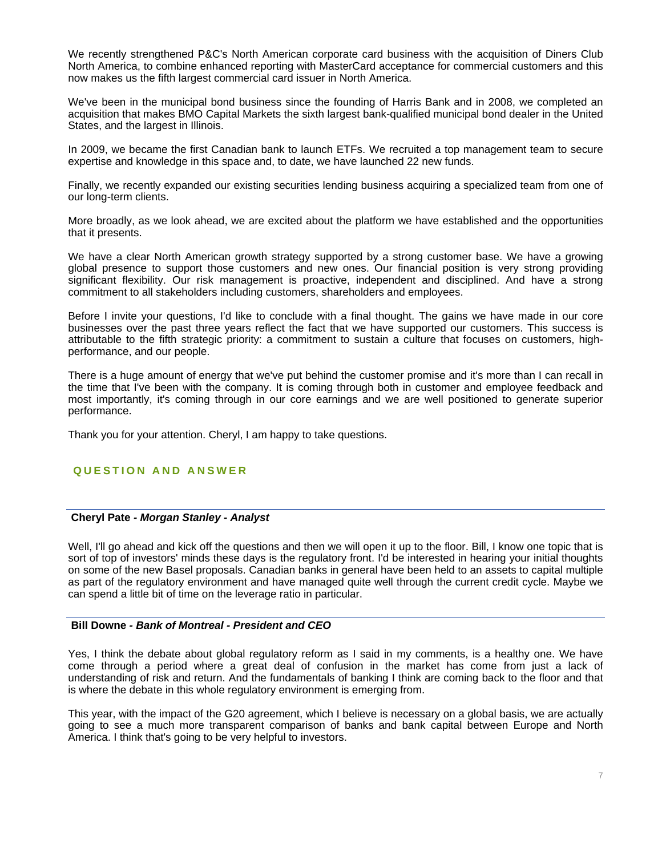We recently strengthened P&C's North American corporate card business with the acquisition of Diners Club North America, to combine enhanced reporting with MasterCard acceptance for commercial customers and this now makes us the fifth largest commercial card issuer in North America.

We've been in the municipal bond business since the founding of Harris Bank and in 2008, we completed an acquisition that makes BMO Capital Markets the sixth largest bank-qualified municipal bond dealer in the United States, and the largest in Illinois.

In 2009, we became the first Canadian bank to launch ETFs. We recruited a top management team to secure expertise and knowledge in this space and, to date, we have launched 22 new funds.

Finally, we recently expanded our existing securities lending business acquiring a specialized team from one of our long-term clients.

More broadly, as we look ahead, we are excited about the platform we have established and the opportunities that it presents.

We have a clear North American growth strategy supported by a strong customer base. We have a growing global presence to support those customers and new ones. Our financial position is very strong providing significant flexibility. Our risk management is proactive, independent and disciplined. And have a strong commitment to all stakeholders including customers, shareholders and employees.

Before I invite your questions, I'd like to conclude with a final thought. The gains we have made in our core businesses over the past three years reflect the fact that we have supported our customers. This success is attributable to the fifth strategic priority: a commitment to sustain a culture that focuses on customers, highperformance, and our people.

There is a huge amount of energy that we've put behind the customer promise and it's more than I can recall in the time that I've been with the company. It is coming through both in customer and employee feedback and most importantly, it's coming through in our core earnings and we are well positioned to generate superior performance.

Thank you for your attention. Cheryl, I am happy to take questions.

# **QUESTION AND ANSWER**

#### **Cheryl Pate** *- Morgan Stanley - Analyst*

Well, I'll go ahead and kick off the questions and then we will open it up to the floor. Bill, I know one topic that is sort of top of investors' minds these days is the regulatory front. I'd be interested in hearing your initial thoughts on some of the new Basel proposals. Canadian banks in general have been held to an assets to capital multiple as part of the regulatory environment and have managed quite well through the current credit cycle. Maybe we can spend a little bit of time on the leverage ratio in particular.

#### **Bill Downe** *- Bank of Montreal - President and CEO*

Yes, I think the debate about global regulatory reform as I said in my comments, is a healthy one. We have come through a period where a great deal of confusion in the market has come from just a lack of understanding of risk and return. And the fundamentals of banking I think are coming back to the floor and that is where the debate in this whole regulatory environment is emerging from.

This year, with the impact of the G20 agreement, which I believe is necessary on a global basis, we are actually going to see a much more transparent comparison of banks and bank capital between Europe and North America. I think that's going to be very helpful to investors.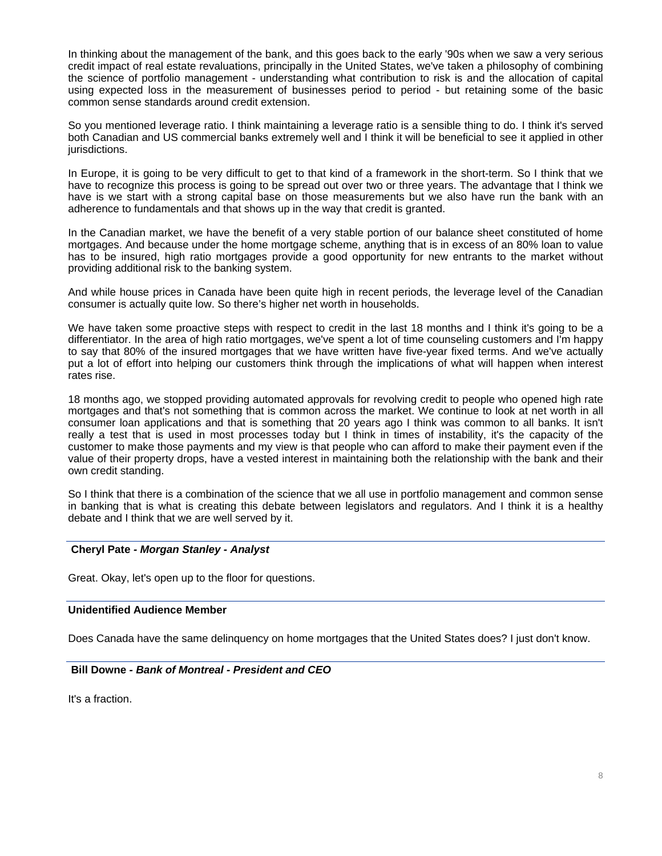In thinking about the management of the bank, and this goes back to the early '90s when we saw a very serious credit impact of real estate revaluations, principally in the United States, we've taken a philosophy of combining the science of portfolio management - understanding what contribution to risk is and the allocation of capital using expected loss in the measurement of businesses period to period - but retaining some of the basic common sense standards around credit extension.

So you mentioned leverage ratio. I think maintaining a leverage ratio is a sensible thing to do. I think it's served both Canadian and US commercial banks extremely well and I think it will be beneficial to see it applied in other jurisdictions.

In Europe, it is going to be very difficult to get to that kind of a framework in the short-term. So I think that we have to recognize this process is going to be spread out over two or three years. The advantage that I think we have is we start with a strong capital base on those measurements but we also have run the bank with an adherence to fundamentals and that shows up in the way that credit is granted.

In the Canadian market, we have the benefit of a very stable portion of our balance sheet constituted of home mortgages. And because under the home mortgage scheme, anything that is in excess of an 80% loan to value has to be insured, high ratio mortgages provide a good opportunity for new entrants to the market without providing additional risk to the banking system.

And while house prices in Canada have been quite high in recent periods, the leverage level of the Canadian consumer is actually quite low. So there's higher net worth in households.

We have taken some proactive steps with respect to credit in the last 18 months and I think it's going to be a differentiator. In the area of high ratio mortgages, we've spent a lot of time counseling customers and I'm happy to say that 80% of the insured mortgages that we have written have five-year fixed terms. And we've actually put a lot of effort into helping our customers think through the implications of what will happen when interest rates rise.

18 months ago, we stopped providing automated approvals for revolving credit to people who opened high rate mortgages and that's not something that is common across the market. We continue to look at net worth in all consumer loan applications and that is something that 20 years ago I think was common to all banks. It isn't really a test that is used in most processes today but I think in times of instability, it's the capacity of the customer to make those payments and my view is that people who can afford to make their payment even if the value of their property drops, have a vested interest in maintaining both the relationship with the bank and their own credit standing.

So I think that there is a combination of the science that we all use in portfolio management and common sense in banking that is what is creating this debate between legislators and regulators. And I think it is a healthy debate and I think that we are well served by it.

## **Cheryl Pate** *- Morgan Stanley - Analyst*

Great. Okay, let's open up to the floor for questions.

## **Unidentified Audience Member**

Does Canada have the same delinquency on home mortgages that the United States does? I just don't know.

## **Bill Downe** *- Bank of Montreal - President and CEO*

It's a fraction.